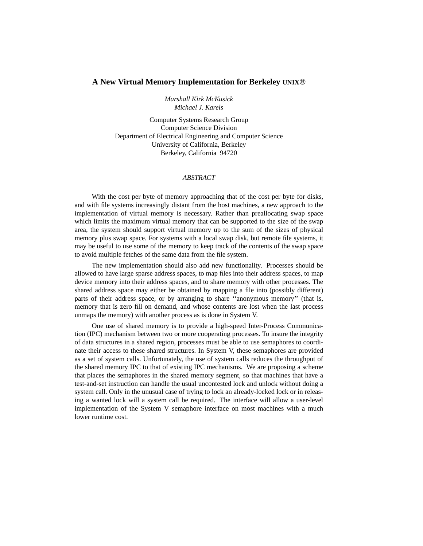# **A New Virtual Memory Implementation for Berkeley UNIX®**

*Marshall Kirk McKusick Michael J. Karels*

Computer Systems Research Group Computer Science Division Department of Electrical Engineering and Computer Science University of California, Berkeley Berkeley, California 94720

# *ABSTRACT*

With the cost per byte of memory approaching that of the cost per byte for disks, and with file systems increasingly distant from the host machines, a new approach to the implementation of virtual memory is necessary. Rather than preallocating swap space which limits the maximum virtual memory that can be supported to the size of the swap area, the system should support virtual memory up to the sum of the sizes of physical memory plus swap space. For systems with a local swap disk, but remote file systems, it may be useful to use some of the memory to keep track of the contents of the swap space to avoid multiple fetches of the same data from the file system.

The new implementation should also add new functionality. Processes should be allowed to have large sparse address spaces, to map files into their address spaces, to map device memory into their address spaces, and to share memory with other processes. The shared address space may either be obtained by mapping a file into (possibly different) parts of their address space, or by arranging to share ''anonymous memory'' (that is, memory that is zero fill on demand, and whose contents are lost when the last process unmaps the memory) with another process as is done in System V.

One use of shared memory is to provide a high-speed Inter-Process Communication (IPC) mechanism between two or more cooperating processes. To insure the integrity of data structures in a shared region, processes must be able to use semaphores to coordinate their access to these shared structures. In System V, these semaphores are provided as a set of system calls. Unfortunately, the use of system calls reduces the throughput of the shared memory IPC to that of existing IPC mechanisms. We are proposing a scheme that places the semaphores in the shared memory segment, so that machines that have a test-and-set instruction can handle the usual uncontested lock and unlock without doing a system call. Only in the unusual case of trying to lock an already-locked lock or in releasing a wanted lock will a system call be required. The interface will allow a user-level implementation of the System V semaphore interface on most machines with a much lower runtime cost.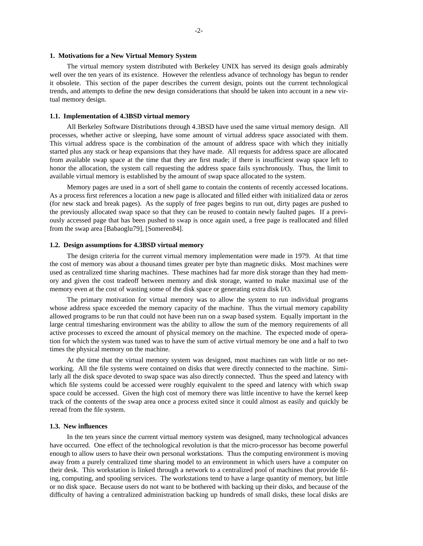## **1. Motivations for a New Virtual Memory System**

The virtual memory system distributed with Berkeley UNIX has served its design goals admirably well over the ten years of its existence. However the relentless advance of technology has begun to render it obsolete. This section of the paper describes the current design, points out the current technological trends, and attempts to define the new design considerations that should be taken into account in a new virtual memory design.

#### **1.1. Implementation of 4.3BSD virtual memory**

All Berkeley Software Distributions through 4.3BSD have used the same virtual memory design. All processes, whether active or sleeping, have some amount of virtual address space associated with them. This virtual address space is the combination of the amount of address space with which they initially started plus any stack or heap expansions that they have made. All requests for address space are allocated from available swap space at the time that they are first made; if there is insufficient swap space left to honor the allocation, the system call requesting the address space fails synchronously. Thus, the limit to available virtual memory is established by the amount of swap space allocated to the system.

Memory pages are used in a sort of shell game to contain the contents of recently accessed locations. As a process first references a location a new page is allocated and filled either with initialized data or zeros (for new stack and break pages). As the supply of free pages begins to run out, dirty pages are pushed to the previously allocated swap space so that they can be reused to contain newly faulted pages. If a previously accessed page that has been pushed to swap is once again used, a free page is reallocated and filled from the swap area [Babaoglu79], [Someren84].

#### **1.2. Design assumptions for 4.3BSD virtual memory**

The design criteria for the current virtual memory implementation were made in 1979. At that time the cost of memory was about a thousand times greater per byte than magnetic disks. Most machines were used as centralized time sharing machines. These machines had far more disk storage than they had memory and given the cost tradeoff between memory and disk storage, wanted to make maximal use of the memory even at the cost of wasting some of the disk space or generating extra disk I/O.

The primary motivation for virtual memory was to allow the system to run individual programs whose address space exceeded the memory capacity of the machine. Thus the virtual memory capability allowed programs to be run that could not have been run on a swap based system. Equally important in the large central timesharing environment was the ability to allow the sum of the memory requirements of all active processes to exceed the amount of physical memory on the machine. The expected mode of operation for which the system was tuned was to have the sum of active virtual memory be one and a half to two times the physical memory on the machine.

At the time that the virtual memory system was designed, most machines ran with little or no networking. All the file systems were contained on disks that were directly connected to the machine. Similarly all the disk space devoted to swap space was also directly connected. Thus the speed and latency with which file systems could be accessed were roughly equivalent to the speed and latency with which swap space could be accessed. Given the high cost of memory there was little incentive to have the kernel keep track of the contents of the swap area once a process exited since it could almost as easily and quickly be reread from the file system.

# **1.3. New influences**

In the ten years since the current virtual memory system was designed, many technological advances have occurred. One effect of the technological revolution is that the micro-processor has become powerful enough to allow users to have their own personal workstations. Thus the computing environment is moving away from a purely centralized time sharing model to an environment in which users have a computer on their desk. This workstation is linked through a network to a centralized pool of machines that provide filing, computing, and spooling services. The workstations tend to have a large quantity of memory, but little or no disk space. Because users do not want to be bothered with backing up their disks, and because of the difficulty of having a centralized administration backing up hundreds of small disks, these local disks are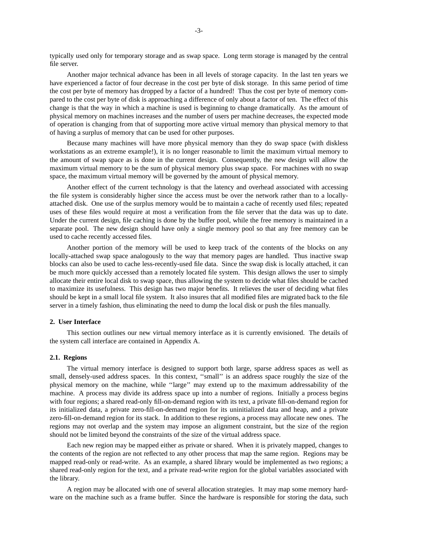typically used only for temporary storage and as swap space. Long term storage is managed by the central file server.

Another major technical advance has been in all levels of storage capacity. In the last ten years we have experienced a factor of four decrease in the cost per byte of disk storage. In this same period of time the cost per byte of memory has dropped by a factor of a hundred! Thus the cost per byte of memory compared to the cost per byte of disk is approaching a difference of only about a factor of ten. The effect of this change is that the way in which a machine is used is beginning to change dramatically. As the amount of physical memory on machines increases and the number of users per machine decreases, the expected mode of operation is changing from that of supporting more active virtual memory than physical memory to that of having a surplus of memory that can be used for other purposes.

Because many machines will have more physical memory than they do swap space (with diskless workstations as an extreme example!), it is no longer reasonable to limit the maximum virtual memory to the amount of swap space as is done in the current design. Consequently, the new design will allow the maximum virtual memory to be the sum of physical memory plus swap space. For machines with no swap space, the maximum virtual memory will be governed by the amount of physical memory.

Another effect of the current technology is that the latency and overhead associated with accessing the file system is considerably higher since the access must be over the network rather than to a locallyattached disk. One use of the surplus memory would be to maintain a cache of recently used files; repeated uses of these files would require at most a verification from the file server that the data was up to date. Under the current design, file caching is done by the buffer pool, while the free memory is maintained in a separate pool. The new design should have only a single memory pool so that any free memory can be used to cache recently accessed files.

Another portion of the memory will be used to keep track of the contents of the blocks on any locally-attached swap space analogously to the way that memory pages are handled. Thus inactive swap blocks can also be used to cache less-recently-used file data. Since the swap disk is locally attached, it can be much more quickly accessed than a remotely located file system. This design allows the user to simply allocate their entire local disk to swap space, thus allowing the system to decide what files should be cached to maximize its usefulness. This design has two major benefits. It relieves the user of deciding what files should be kept in a small local file system. It also insures that all modified files are migrated back to the file server in a timely fashion, thus eliminating the need to dump the local disk or push the files manually.

# **2. User Interface**

This section outlines our new virtual memory interface as it is currently envisioned. The details of the system call interface are contained in Appendix A.

# **2.1. Regions**

The virtual memory interface is designed to support both large, sparse address spaces as well as small, densely-used address spaces. In this context, "small" is an address space roughly the size of the physical memory on the machine, while ''large'' may extend up to the maximum addressability of the machine. A process may divide its address space up into a number of regions. Initially a process begins with four regions; a shared read-only fill-on-demand region with its text, a private fill-on-demand region for its initialized data, a private zero-fill-on-demand region for its uninitialized data and heap, and a private zero-fill-on-demand region for its stack. In addition to these regions, a process may allocate new ones. The regions may not overlap and the system may impose an alignment constraint, but the size of the region should not be limited beyond the constraints of the size of the virtual address space.

Each new region may be mapped either as private or shared. When it is privately mapped, changes to the contents of the region are not reflected to any other process that map the same region. Regions may be mapped read-only or read-write. As an example, a shared library would be implemented as two regions; a shared read-only region for the text, and a private read-write region for the global variables associated with the library.

A region may be allocated with one of several allocation strategies. It may map some memory hardware on the machine such as a frame buffer. Since the hardware is responsible for storing the data, such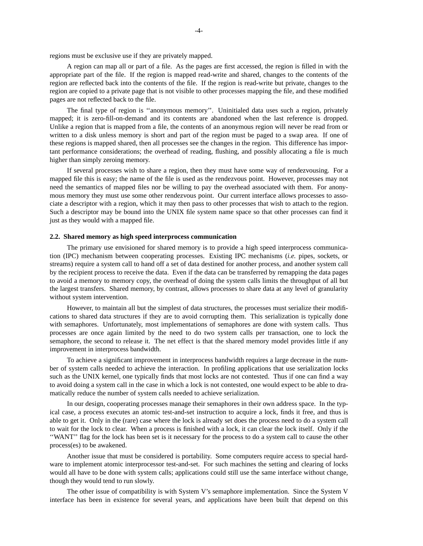regions must be exclusive use if they are privately mapped.

A region can map all or part of a file. As the pages are first accessed, the region is filled in with the appropriate part of the file. If the region is mapped read-write and shared, changes to the contents of the region are reflected back into the contents of the file. If the region is read-write but private, changes to the region are copied to a private page that is not visible to other processes mapping the file, and these modified pages are not reflected back to the file.

The final type of region is ''anonymous memory''. Uninitialed data uses such a region, privately mapped; it is zero-fill-on-demand and its contents are abandoned when the last reference is dropped. Unlike a region that is mapped from a file, the contents of an anonymous region will never be read from or written to a disk unless memory is short and part of the region must be paged to a swap area. If one of these regions is mapped shared, then all processes see the changes in the region. This difference has important performance considerations; the overhead of reading, flushing, and possibly allocating a file is much higher than simply zeroing memory.

If several processes wish to share a region, then they must have some way of rendezvousing. For a mapped file this is easy; the name of the file is used as the rendezvous point. However, processes may not need the semantics of mapped files nor be willing to pay the overhead associated with them. For anonymous memory they must use some other rendezvous point. Our current interface allows processes to associate a descriptor with a region, which it may then pass to other processes that wish to attach to the region. Such a descriptor may be bound into the UNIX file system name space so that other processes can find it just as they would with a mapped file.

#### **2.2. Shared memory as high speed interprocess communication**

The primary use envisioned for shared memory is to provide a high speed interprocess communication (IPC) mechanism between cooperating processes. Existing IPC mechanisms (*i.e.* pipes, sockets, or streams) require a system call to hand off a set of data destined for another process, and another system call by the recipient process to receive the data. Even if the data can be transferred by remapping the data pages to avoid a memory to memory copy, the overhead of doing the system calls limits the throughput of all but the largest transfers. Shared memory, by contrast, allows processes to share data at any level of granularity without system intervention.

However, to maintain all but the simplest of data structures, the processes must serialize their modifications to shared data structures if they are to avoid corrupting them. This serialization is typically done with semaphores. Unfortunately, most implementations of semaphores are done with system calls. Thus processes are once again limited by the need to do two system calls per transaction, one to lock the semaphore, the second to release it. The net effect is that the shared memory model provides little if any improvement in interprocess bandwidth.

To achieve a significant improvement in interprocess bandwidth requires a large decrease in the number of system calls needed to achieve the interaction. In profiling applications that use serialization locks such as the UNIX kernel, one typically finds that most locks are not contested. Thus if one can find a way to avoid doing a system call in the case in which a lock is not contested, one would expect to be able to dramatically reduce the number of system calls needed to achieve serialization.

In our design, cooperating processes manage their semaphores in their own address space. In the typical case, a process executes an atomic test-and-set instruction to acquire a lock, finds it free, and thus is able to get it. Only in the (rare) case where the lock is already set does the process need to do a system call to wait for the lock to clear. When a process is finished with a lock, it can clear the lock itself. Only if the ''WANT'' flag for the lock has been set is it necessary for the process to do a system call to cause the other process(es) to be awakened.

Another issue that must be considered is portability. Some computers require access to special hardware to implement atomic interprocessor test-and-set. For such machines the setting and clearing of locks would all have to be done with system calls; applications could still use the same interface without change, though they would tend to run slowly.

The other issue of compatibility is with System V's semaphore implementation. Since the System V interface has been in existence for several years, and applications have been built that depend on this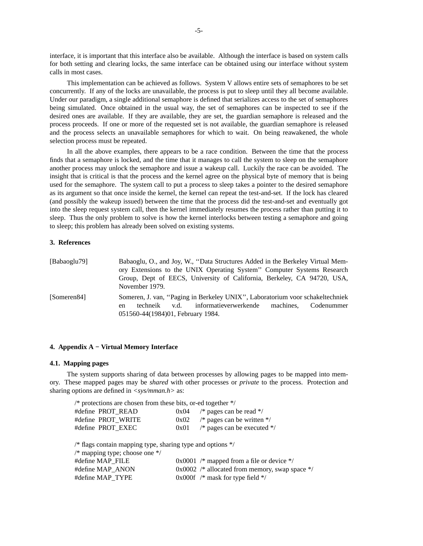interface, it is important that this interface also be available. Although the interface is based on system calls for both setting and clearing locks, the same interface can be obtained using our interface without system calls in most cases.

This implementation can be achieved as follows. System V allows entire sets of semaphores to be set concurrently. If any of the locks are unavailable, the process is put to sleep until they all become available. Under our paradigm, a single additional semaphore is defined that serializes access to the set of semaphores being simulated. Once obtained in the usual way, the set of semaphores can be inspected to see if the desired ones are available. If they are available, they are set, the guardian semaphore is released and the process proceeds. If one or more of the requested set is not available, the guardian semaphore is released and the process selects an unavailable semaphores for which to wait. On being reawakened, the whole selection process must be repeated.

In all the above examples, there appears to be a race condition. Between the time that the process finds that a semaphore is locked, and the time that it manages to call the system to sleep on the semaphore another process may unlock the semaphore and issue a wakeup call. Luckily the race can be avoided. The insight that is critical is that the process and the kernel agree on the physical byte of memory that is being used for the semaphore. The system call to put a process to sleep takes a pointer to the desired semaphore as its argument so that once inside the kernel, the kernel can repeat the test-and-set. If the lock has cleared (and possibly the wakeup issued) between the time that the process did the test-and-set and eventually got into the sleep request system call, then the kernel immediately resumes the process rather than putting it to sleep. Thus the only problem to solve is how the kernel interlocks between testing a semaphore and going to sleep; this problem has already been solved on existing systems.

# **3. References**

| [Babaoglu79] | Babaoglu, O., and Joy, W., "Data Structures Added in the Berkeley Virtual Mem-<br>ory Extensions to the UNIX Operating System" Computer Systems Research<br>Group, Dept of EECS, University of California, Berkeley, CA 94720, USA,<br>November 1979. |
|--------------|-------------------------------------------------------------------------------------------------------------------------------------------------------------------------------------------------------------------------------------------------------|
| [Someren84]  | Someren, J. van, "Paging in Berkeley UNIX", Laboratorium voor schakeltechniek<br>techneik v.d. informatieverwerkende machines. Codenummer<br>en<br>051560-44(1984)01, February 1984.                                                                  |

# **4. Appendix A − Virtual Memory Interface**

# **4.1. Mapping pages**

The system supports sharing of data between processes by allowing pages to be mapped into memory. These mapped pages may be *shared* with other processes or *private* to the process. Protection and sharing options are defined in  $\langle$ sys/mman.h> as:

| $\frac{*}{*}$ protections are chosen from these bits, or-ed together $\frac{*}{*}$                                                       |      |                                                  |  |  |  |
|------------------------------------------------------------------------------------------------------------------------------------------|------|--------------------------------------------------|--|--|--|
| #define PROT_READ                                                                                                                        | 0x04 | /* pages can be read $\frac{*}{ }$               |  |  |  |
| #define PROT WRITE                                                                                                                       |      | $0x02$ /* pages can be written */                |  |  |  |
| #define PROT EXEC                                                                                                                        | 0x01 | /* pages can be executed $*/$                    |  |  |  |
| $\frac{*}{*}$ flags contain mapping type, sharing type and options $\frac{*}{*}$<br>$\frac{*}{*}$ mapping type; choose one $\frac{*}{*}$ |      |                                                  |  |  |  |
| #define MAP FILE                                                                                                                         |      | 0x0001 /* mapped from a file or device */        |  |  |  |
| #define MAP ANON                                                                                                                         |      | $0x0002$ /* allocated from memory, swap space */ |  |  |  |
| #define MAP TYPE                                                                                                                         |      | 0x000f $/*$ mask for type field $*/$             |  |  |  |
|                                                                                                                                          |      |                                                  |  |  |  |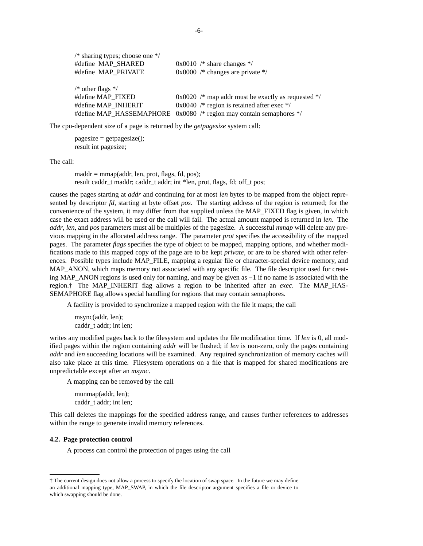| /* sharing types; choose one $*/$       |                                                                     |
|-----------------------------------------|---------------------------------------------------------------------|
| #define MAP SHARED                      | $0x0010$ /* share changes */                                        |
| #define MAP PRIVATE                     | $0x0000$ /* changes are private */                                  |
| $\frac{*}{*}$ other flags $\frac{*}{*}$ |                                                                     |
| #define MAP FIXED                       | $0x0020$ /* map addr must be exactly as requested */                |
| #define MAP INHERIT                     | $0x0040$ /* region is retained after exec */                        |
|                                         | #define MAP_HASSEMAPHORE 0x0080 /* region may contain semaphores */ |

The cpu-dependent size of a page is returned by the *getpagesize* system call:

 $pagesize = getpagesize();$ result int pagesize;

The call:

maddr = mmap(addr, len, prot, flags, fd, pos); result caddr\_t maddr; caddr\_t addr; int \*len, prot, flags, fd; off\_t pos;

causes the pages starting at *addr* and continuing for at most *len* bytes to be mapped from the object represented by descriptor *fd*, starting at byte offset *pos*. The starting address of the region is returned; for the convenience of the system, it may differ from that supplied unless the MAP\_FIXED flag is given, in which case the exact address will be used or the call will fail. The actual amount mapped is returned in *len*. The *addr*, *len*, and *pos* parameters must all be multiples of the pagesize. A successful *mmap* will delete any previous mapping in the allocated address range. The parameter *prot* specifies the accessibility of the mapped pages. The parameter *flags* specifies the type of object to be mapped, mapping options, and whether modifications made to this mapped copy of the page are to be kept *private*, or are to be *shared* with other references. Possible types include MAP\_FILE, mapping a regular file or character-special device memory, and MAP\_ANON, which maps memory not associated with any specific file. The file descriptor used for creating MAP\_ANON regions is used only for naming, and may be given as −1 if no name is associated with the region.† The MAP\_INHERIT flag allows a region to be inherited after an *exec*. The MAP\_HAS-SEMAPHORE flag allows special handling for regions that may contain semaphores.

A facility is provided to synchronize a mapped region with the file it maps; the call

msync(addr, len); caddr\_t addr; int len;

writes any modified pages back to the filesystem and updates the file modification time. If *len* is 0, all modified pages within the region containing *addr* will be flushed; if *len* is non-zero, only the pages containing *addr* and *len* succeeding locations will be examined. Any required synchronization of memory caches will also take place at this time. Filesystem operations on a file that is mapped for shared modifications are unpredictable except after an *msync*.

A mapping can be removed by the call

munmap(addr, len); caddr t addr; int len;

This call deletes the mappings for the specified address range, and causes further references to addresses within the range to generate invalid memory references.

## **4.2. Page protection control**

A process can control the protection of pages using the call

<sup>†</sup> The current design does not allow a process to specify the location of swap space. In the future we may define an additional mapping type, MAP\_SWAP, in which the file descriptor argument specifies a file or device to which swapping should be done.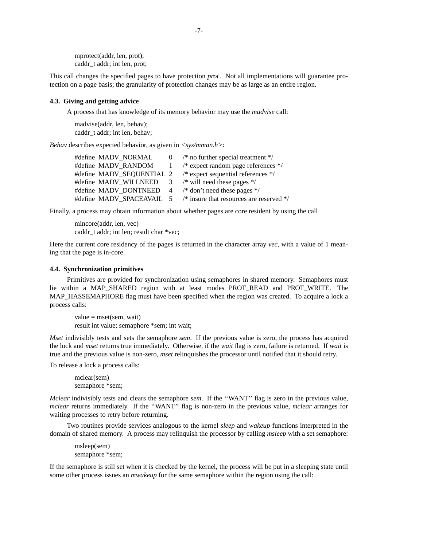mprotect(addr, len, prot); caddr\_t addr; int len, prot;

This call changes the specified pages to have protection *prot* . Not all implementations will guarantee protection on a page basis; the granularity of protection changes may be as large as an entire region.

## **4.3. Giving and getting advice**

A process that has knowledge of its memory behavior may use the *madvise* call:

madvise(addr, len, behav); caddr t addr; int len, behav;

*Behav* describes expected behavior, as given in  $\langle$ sys/mman.h>:

| #define MADV NORMAL   | $0$ /* no further special treatment */                             |
|-----------------------|--------------------------------------------------------------------|
| #define MADV RANDOM 1 | /* expect random page references $*/$                              |
|                       | #define MADV_SEQUENTIAL 2 /* expect sequential references */       |
|                       | #define MADV WILLNEED $\frac{3}{8}$ /* will need these pages */    |
|                       | #define MADV DONTNEED $4$ /* don't need these pages */             |
|                       | #define MADV_SPACEAVAIL 5 /* insure that resources are reserved */ |

Finally, a process may obtain information about whether pages are core resident by using the call

mincore(addr, len, vec) caddr t addr; int len; result char \*vec;

Here the current core residency of the pages is returned in the character array *vec*, with a value of 1 meaning that the page is in-core.

#### **4.4. Synchronization primitives**

Primitives are provided for synchronization using semaphores in shared memory. Semaphores must lie within a MAP\_SHARED region with at least modes PROT\_READ and PROT\_WRITE. The MAP\_HASSEMAPHORE flag must have been specified when the region was created. To acquire a lock a process calls:

 $value = mset(sem, wait)$ result int value; semaphore \*sem; int wait;

*Mset* indivisibly tests and sets the semaphore *sem*. If the previous value is zero, the process has acquired the lock and *mset* returns true immediately. Otherwise, if the *wait* flag is zero, failure is returned. If *wait* is true and the previous value is non-zero, *mset* relinquishes the processor until notified that it should retry.

To release a lock a process calls:

mclear(sem) semaphore \*sem;

*Mclear* indivisibly tests and clears the semaphore *sem*. If the ''WANT'' flag is zero in the previous value, *mclear* returns immediately. If the ''WANT'' flag is non-zero in the previous value, *mclear* arranges for waiting processes to retry before returning.

Two routines provide services analogous to the kernel *sleep* and *wakeup* functions interpreted in the domain of shared memory. A process may relinquish the processor by calling *msleep* with a set semaphore:

msleep(sem) semaphore \*sem;

If the semaphore is still set when it is checked by the kernel, the process will be put in a sleeping state until some other process issues an *mwakeup* for the same semaphore within the region using the call: